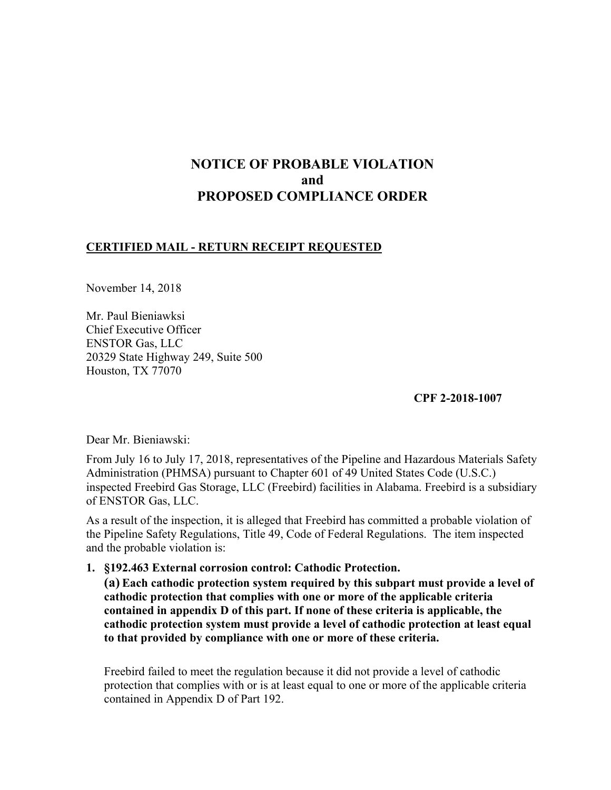# **NOTICE OF PROBABLE VIOLATION and PROPOSED COMPLIANCE ORDER**

### **CERTIFIED MAIL - RETURN RECEIPT REQUESTED**

November 14, 2018

Mr. Paul Bieniawksi Chief Executive Officer ENSTOR Gas, LLC 20329 State Highway 249, Suite 500 Houston, TX 77070

**CPF 2-2018-1007**

Dear Mr. Bieniawski:

From July 16 to July 17, 2018, representatives of the Pipeline and Hazardous Materials Safety Administration (PHMSA) pursuant to Chapter 601 of 49 United States Code (U.S.C.) inspected Freebird Gas Storage, LLC (Freebird) facilities in Alabama. Freebird is a subsidiary of ENSTOR Gas, LLC.

As a result of the inspection, it is alleged that Freebird has committed a probable violation of the Pipeline Safety Regulations, Title 49, Code of Federal Regulations. The item inspected and the probable violation is:

**1. §192.463 External corrosion control: Cathodic Protection.** 

**(a) Each cathodic protection system required by this subpart must provide a level of cathodic protection that complies with one or more of the applicable criteria contained in appendix D of this part. If none of these criteria is applicable, the cathodic protection system must provide a level of cathodic protection at least equal to that provided by compliance with one or more of these criteria.** 

Freebird failed to meet the regulation because it did not provide a level of cathodic protection that complies with or is at least equal to one or more of the applicable criteria contained in Appendix D of Part 192.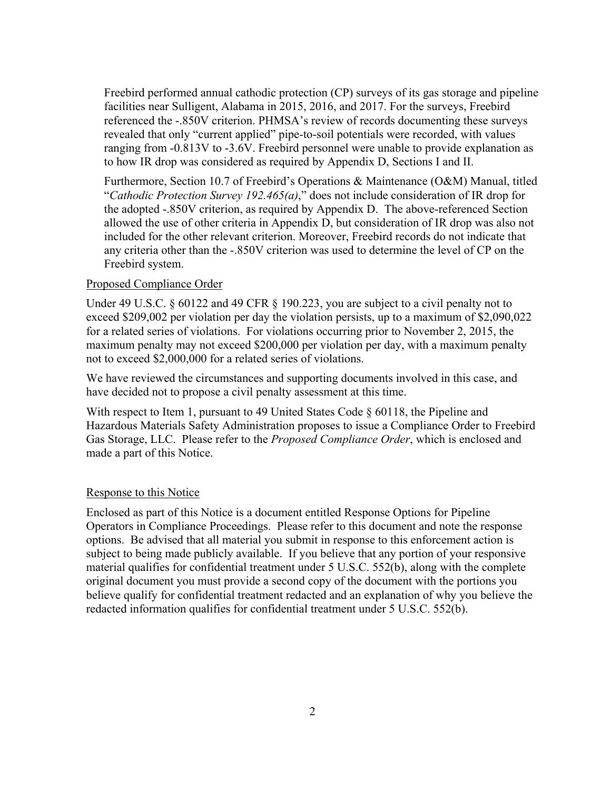Freebird performed annual cathodic protection (CP) surveys of its gas storage and pipeline facilities near Sulligent, Alabama in 2015, 2016, and 2017. For the surveys, Freebird referenced the -.850V criterion. PHMSA's review of records documenting these surveys revealed that only "current applied" pipe-to-soil potentials were recorded, with values ranging from -0.813V to -3.6V. Freebird personnel were unable to provide explanation as to how IR drop was considered as required by Appendix D, Sections I and II.

Furthermore, Section 10.7 of Freebird's Operations & Maintenance (O&M) Manual, titled "*Cathodic Protection Survey 192.465(a)*," does not include consideration of IR drop for the adopted -.850V criterion, as required by Appendix D. The above-referenced Section allowed the use of other criteria in Appendix D, but consideration of IR drop was also not included for the other relevant criterion. Moreover, Freebird records do not indicate that any criteria other than the -.850V criterion was used to determine the level of CP on the Freebird system.

#### Proposed Compliance Order

Under 49 U.S.C. § 60122 and 49 CFR § 190.223, you are subject to a civil penalty not to exceed \$209,002 per violation per day the violation persists, up to a maximum of \$2,090,022 for a related series of violations. For violations occurring prior to November 2, 2015, the maximum penalty may not exceed \$200,000 per violation per day, with a maximum penalty not to exceed \$2,000,000 for a related series of violations.

We have reviewed the circumstances and supporting documents involved in this case, and have decided not to propose a civil penalty assessment at this time.

With respect to Item 1, pursuant to 49 United States Code § 60118, the Pipeline and Hazardous Materials Safety Administration proposes to issue a Compliance Order to Freebird Gas Storage, LLC. Please refer to the *Proposed Compliance Order*, which is enclosed and made a part of this Notice.

#### Response to this Notice

Enclosed as part of this Notice is a document entitled Response Options for Pipeline Operators in Compliance Proceedings. Please refer to this document and note the response options. Be advised that all material you submit in response to this enforcement action is subject to being made publicly available. If you believe that any portion of your responsive material qualifies for confidential treatment under 5 U.S.C. 552(b), along with the complete original document you must provide a second copy of the document with the portions you believe qualify for confidential treatment redacted and an explanation of why you believe the redacted information qualifies for confidential treatment under 5 U.S.C. 552(b).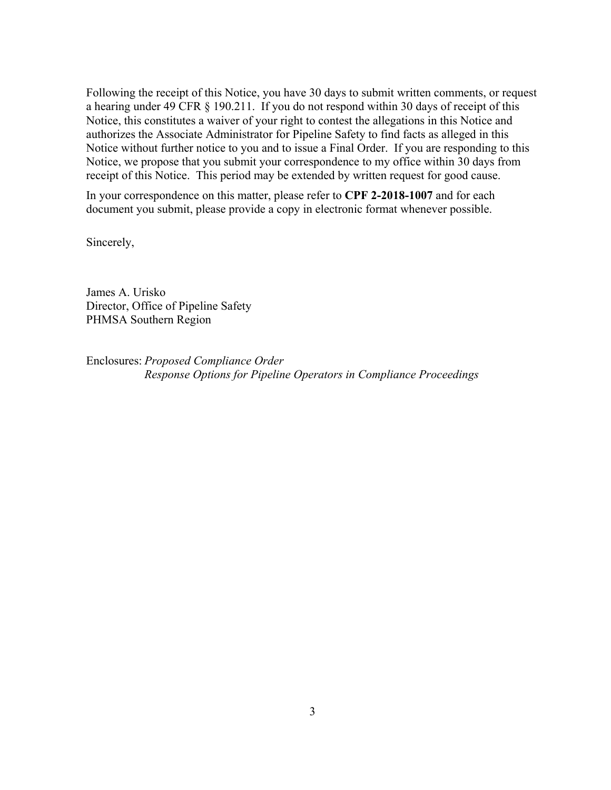Following the receipt of this Notice, you have 30 days to submit written comments, or request a hearing under 49 CFR § 190.211. If you do not respond within 30 days of receipt of this Notice, this constitutes a waiver of your right to contest the allegations in this Notice and authorizes the Associate Administrator for Pipeline Safety to find facts as alleged in this Notice without further notice to you and to issue a Final Order. If you are responding to this Notice, we propose that you submit your correspondence to my office within 30 days from receipt of this Notice. This period may be extended by written request for good cause.

 In your correspondence on this matter, please refer to **CPF 2-2018-1007** and for each document you submit, please provide a copy in electronic format whenever possible.

Sincerely,

James A. Urisko Director, Office of Pipeline Safety PHMSA Southern Region

Enclosures: *Proposed Compliance Order Response Options for Pipeline Operators in Compliance Proceedings*